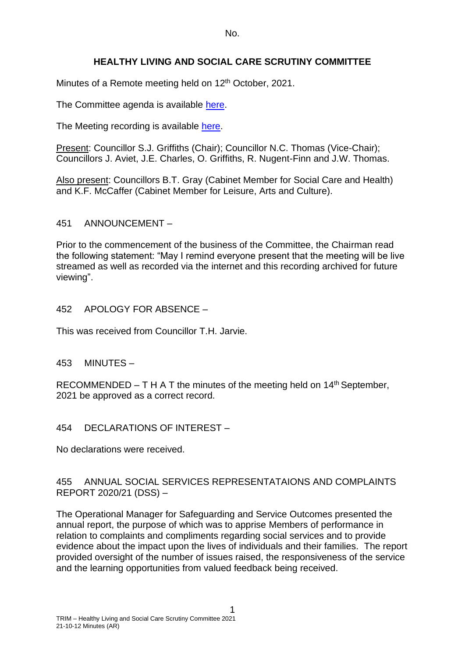No.

# **HEALTHY LIVING AND SOCIAL CARE SCRUTINY COMMITTEE**

Minutes of a Remote meeting held on 12<sup>th</sup> October, 2021.

The Committee agenda is available [here.](https://www.valeofglamorgan.gov.uk/en/our_council/Council-Structure/minutes,_agendas_and_reports/agendas/Scrutiny-HLSC/2021/21-10-12.aspx)

The Meeting recording is available [here.](https://www.youtube.com/watch?v=E8qyF9d0kwI&list=PLzt4i14pgqIEm1ttoE4sJV3ONGKrZxv4w&index=1)

Present: Councillor S.J. Griffiths (Chair); Councillor N.C. Thomas (Vice-Chair); Councillors J. Aviet, J.E. Charles, O. Griffiths, R. Nugent-Finn and J.W. Thomas.

Also present: Councillors B.T. Gray (Cabinet Member for Social Care and Health) and K.F. McCaffer (Cabinet Member for Leisure, Arts and Culture).

### 451 ANNOUNCEMENT –

Prior to the commencement of the business of the Committee, the Chairman read the following statement: "May I remind everyone present that the meeting will be live streamed as well as recorded via the internet and this recording archived for future viewing".

## 452 APOLOGY FOR ABSENCE –

This was received from Councillor T.H. Jarvie.

# 453 MINUTES –

RECOMMENDED – T H A T the minutes of the meeting held on  $14<sup>th</sup>$  September, 2021 be approved as a correct record.

### 454 DECLARATIONS OF INTEREST –

No declarations were received.

### 455 ANNUAL SOCIAL SERVICES REPRESENTATAIONS AND COMPLAINTS REPORT 2020/21 (DSS) –

The Operational Manager for Safeguarding and Service Outcomes presented the annual report, the purpose of which was to apprise Members of performance in relation to complaints and compliments regarding social services and to provide evidence about the impact upon the lives of individuals and their families. The report provided oversight of the number of issues raised, the responsiveness of the service and the learning opportunities from valued feedback being received.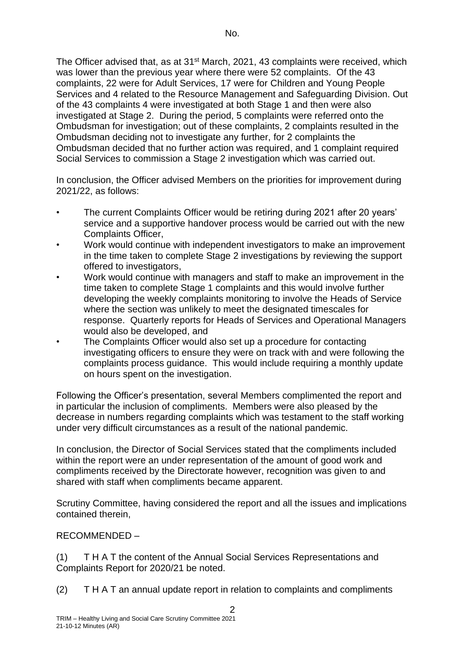The Officer advised that, as at 31<sup>st</sup> March, 2021, 43 complaints were received, which was lower than the previous year where there were 52 complaints. Of the 43 complaints, 22 were for Adult Services, 17 were for Children and Young People Services and 4 related to the Resource Management and Safeguarding Division. Out of the 43 complaints 4 were investigated at both Stage 1 and then were also investigated at Stage 2. During the period, 5 complaints were referred onto the Ombudsman for investigation; out of these complaints, 2 complaints resulted in the Ombudsman deciding not to investigate any further, for 2 complaints the Ombudsman decided that no further action was required, and 1 complaint required Social Services to commission a Stage 2 investigation which was carried out.

In conclusion, the Officer advised Members on the priorities for improvement during 2021/22, as follows:

- The current Complaints Officer would be retiring during 2021 after 20 years' service and a supportive handover process would be carried out with the new Complaints Officer,
- Work would continue with independent investigators to make an improvement in the time taken to complete Stage 2 investigations by reviewing the support offered to investigators,
- Work would continue with managers and staff to make an improvement in the time taken to complete Stage 1 complaints and this would involve further developing the weekly complaints monitoring to involve the Heads of Service where the section was unlikely to meet the designated timescales for response. Quarterly reports for Heads of Services and Operational Managers would also be developed, and
- The Complaints Officer would also set up a procedure for contacting investigating officers to ensure they were on track with and were following the complaints process guidance. This would include requiring a monthly update on hours spent on the investigation.

Following the Officer's presentation, several Members complimented the report and in particular the inclusion of compliments. Members were also pleased by the decrease in numbers regarding complaints which was testament to the staff working under very difficult circumstances as a result of the national pandemic.

In conclusion, the Director of Social Services stated that the compliments included within the report were an under representation of the amount of good work and compliments received by the Directorate however, recognition was given to and shared with staff when compliments became apparent.

Scrutiny Committee, having considered the report and all the issues and implications contained therein,

RECOMMENDED –

(1) T H A T the content of the Annual Social Services Representations and Complaints Report for 2020/21 be noted.

(2) T H A T an annual update report in relation to complaints and compliments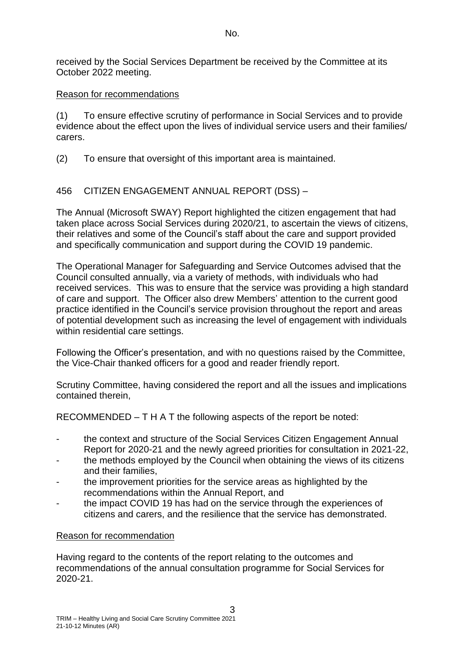received by the Social Services Department be received by the Committee at its October 2022 meeting.

## Reason for recommendations

(1) To ensure effective scrutiny of performance in Social Services and to provide evidence about the effect upon the lives of individual service users and their families/ carers.

(2) To ensure that oversight of this important area is maintained.

# 456 CITIZEN ENGAGEMENT ANNUAL REPORT (DSS) –

The Annual (Microsoft SWAY) Report highlighted the citizen engagement that had taken place across Social Services during 2020/21, to ascertain the views of citizens, their relatives and some of the Council's staff about the care and support provided and specifically communication and support during the COVID 19 pandemic.

The Operational Manager for Safeguarding and Service Outcomes advised that the Council consulted annually, via a variety of methods, with individuals who had received services. This was to ensure that the service was providing a high standard of care and support. The Officer also drew Members' attention to the current good practice identified in the Council's service provision throughout the report and areas of potential development such as increasing the level of engagement with individuals within residential care settings.

Following the Officer's presentation, and with no questions raised by the Committee, the Vice-Chair thanked officers for a good and reader friendly report.

Scrutiny Committee, having considered the report and all the issues and implications contained therein,

RECOMMENDED – T H A T the following aspects of the report be noted:

- the context and structure of the Social Services Citizen Engagement Annual Report for 2020-21 and the newly agreed priorities for consultation in 2021-22,
- the methods employed by the Council when obtaining the views of its citizens and their families,
- the improvement priorities for the service areas as highlighted by the recommendations within the Annual Report, and
- the impact COVID 19 has had on the service through the experiences of citizens and carers, and the resilience that the service has demonstrated.

### Reason for recommendation

Having regard to the contents of the report relating to the outcomes and recommendations of the annual consultation programme for Social Services for 2020-21.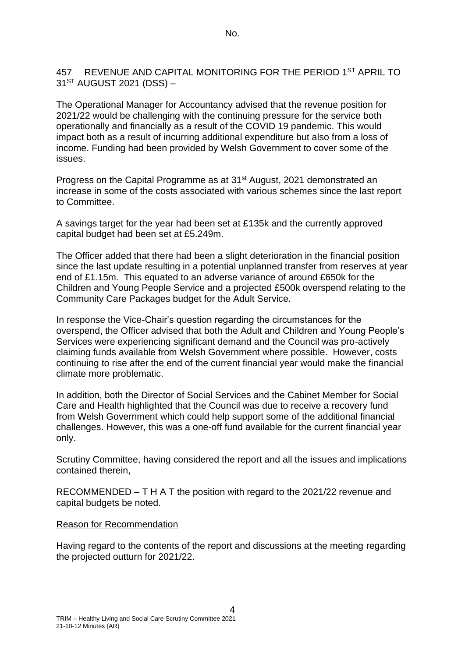#### 457 REVENUE AND CAPITAL MONITORING FOR THE PERIOD 1ST APRIL TO  $31<sup>ST</sup>$  AUGUST 2021 (DSS) –

The Operational Manager for Accountancy advised that the revenue position for 2021/22 would be challenging with the continuing pressure for the service both operationally and financially as a result of the COVID 19 pandemic. This would impact both as a result of incurring additional expenditure but also from a loss of income. Funding had been provided by Welsh Government to cover some of the issues.

Progress on the Capital Programme as at 31<sup>st</sup> August, 2021 demonstrated an increase in some of the costs associated with various schemes since the last report to Committee.

A savings target for the year had been set at £135k and the currently approved capital budget had been set at £5.249m.

The Officer added that there had been a slight deterioration in the financial position since the last update resulting in a potential unplanned transfer from reserves at year end of £1.15m. This equated to an adverse variance of around £650k for the Children and Young People Service and a projected £500k overspend relating to the Community Care Packages budget for the Adult Service.

In response the Vice-Chair's question regarding the circumstances for the overspend, the Officer advised that both the Adult and Children and Young People's Services were experiencing significant demand and the Council was pro-actively claiming funds available from Welsh Government where possible. However, costs continuing to rise after the end of the current financial year would make the financial climate more problematic.

In addition, both the Director of Social Services and the Cabinet Member for Social Care and Health highlighted that the Council was due to receive a recovery fund from Welsh Government which could help support some of the additional financial challenges. However, this was a one-off fund available for the current financial year only.

Scrutiny Committee, having considered the report and all the issues and implications contained therein,

RECOMMENDED – T H A T the position with regard to the 2021/22 revenue and capital budgets be noted.

#### Reason for Recommendation

Having regard to the contents of the report and discussions at the meeting regarding the projected outturn for 2021/22.